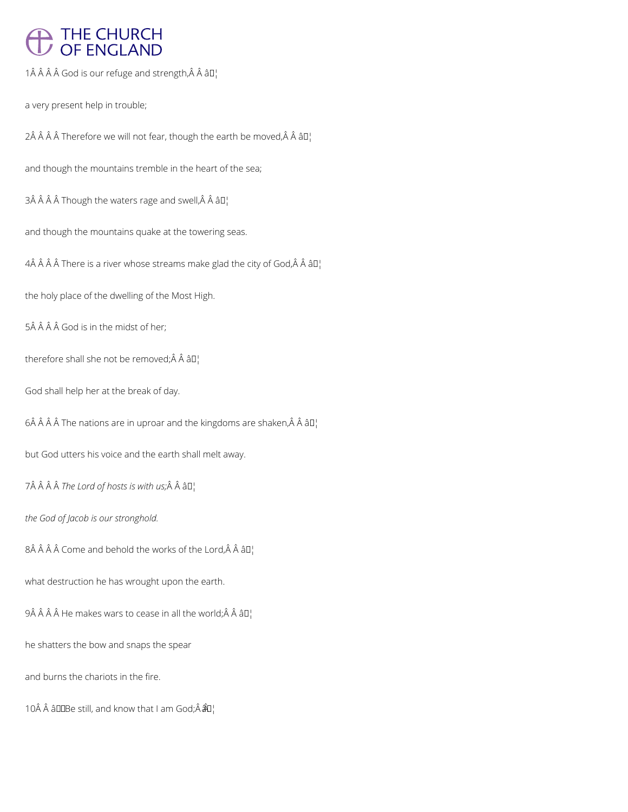## THE CHURCH<br>OF ENGLAND

1 $\hat{A}$   $\hat{A}$   $\hat{A}$   $\hat{A}$  God is our refuge and strength, $\hat{A}$   $\hat{A}$   $\hat{a}$   $\Box$ 

a very present help in trouble;

2Â Â Â Â Therefore we will not fear, though the earth be moved, Â Â â D¦

and though the mountains tremble in the heart of the sea;

 $3\hat{A}$   $\hat{A}$   $\hat{A}$   $\hat{A}$  Though the waters rage and swell, $\hat{A}$   $\hat{A}$   $\hat{a}$   $\Box$ 

and though the mountains quake at the towering seas.

 $4\hat{A}$   $\hat{A}$   $\hat{A}$   $\hat{A}$  There is a river whose streams make glad the city of God, $\hat{A}$   $\hat{A}$   $\hat{a}$   $\Box$ 

the holy place of the dwelling of the Most High.

5Â Â Â Â God is in the midst of her;

therefore shall she not be removed; $\hat{A}$   $\hat{A}$   $\hat{a}$  $\Box$ 

God shall help her at the break of day.

6 $\hat{A}$   $\hat{A}$   $\hat{A}$   $\hat{A}$  The nations are in uproar and the kingdoms are shaken, $\hat{A}$   $\hat{A}$   $\hat{a}$   $\Box$ 

but God utters his voice and the earth shall melt away.

7Â Â Â Â *The Lord of hosts is with us;* Â Â â D<sub>1</sub>

*the God of Jacob is our stronghold.*

 $8\hat{A}$   $\hat{A}$   $\hat{A}$  Come and behold the works of the Lord, $\hat{A}$   $\hat{A}$   $\hat{a}$   $\Gamma$ 

what destruction he has wrought upon the earth.

 $9\hat{A}$   $\hat{A}$   $\hat{A}$   $\hat{A}$  He makes wars to cease in all the world; $\hat{A}$   $\hat{A}$   $\hat{a}$   $\Box$ 

he shatters the bow and snaps the spear

and burns the chariots in the fire.

10Â Â âDDBe still, and know that I am God; $\hat{A}$   $\hat{A}$  $\hat{O}$ ¦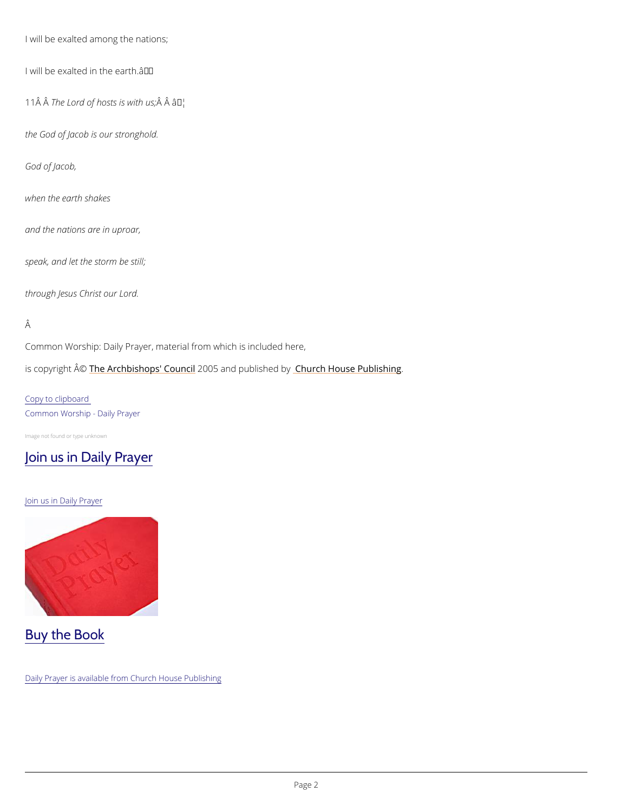I will be exalted among the nations;

I will be exalted in the earth. $\hat{a} \in \mathbb{M}$ 

11  $\hat{A}$  T $\hat{A}$  he Lord of host $\hat{A}$   $\hat{B}$   $\hat{B}$   $\hat{B}$   $\hat{B}$   $\hat{B}$   $\hat{B}$   $\hat{B}$   $\hat{B}$   $\hat{B}$ 

the God of Jacob is our stronghold.

God of Jacob,

when the earth shakes

and the nations are in uproar,

speak, and let the storm be still;

through Jesus Christ our Lord.

## Â

Common Worship: Daily Prayer, material from which is included here,

is copyrighth  $\hat{\mathbb{A}}$  @Archbishops' 2000 of braind publish hend roby House Publishing

Copy to clipboard Common Worship - Daily Prayer

Image not found or type unknown

## [Join us in Daily Prayer](https://www.churchofengland.org/prayer-and-worship/join-us-in-daily-prayer)

Join us in Daily Prayer



Daily Prayer is available from Church House Publishing